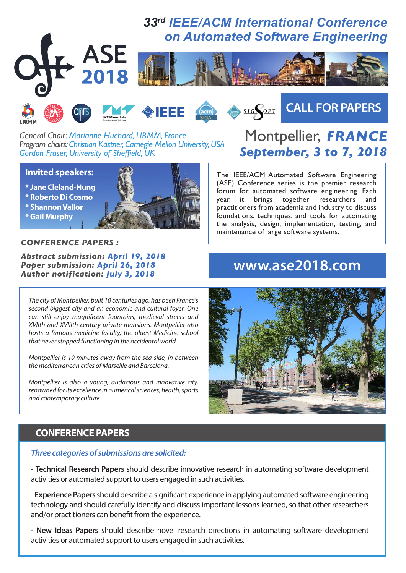







# **CALL FOR PAPERS**

*General Chair: Marianne Huchard, LIRMM, France Program chairs: Christian Kastner, Carnegie Mellon University, USA Gordon Fraser, University of Sheffield, UK*

#### **Invited speakers:**

**\* Jane Cleland-Hung**

- **\* Roberto Di Cosmo**
- **\* Shannon Vallor**
- **\* Gail Murphy**



#### *CONFERENCE PAPERS :*

*Abstract submission: April 19, 2018 Paper submission: April 26, 2018 Author notification: July 3, 2018*

*The city of Montpellier, built 10 centuries ago, has been France's second biggest city and an economic and cultural foyer. One*  can still enjoy magnificent fountains, medieval streets and *XVIIth and XVIIIth century private mansions. Montpellier also hosts a famous medicine faculty, the oldest Medicine school that never stopped functioning in the occidental world.*

*Montpellier is 10 minutes away from the sea-side, in between the mediterranean cities of Marseille and Barcelona.*

*Montpellier is also a young, audacious and innovative city, renowned for its excellence in numerical sciences, health, sports and contemporary culture.*

## Montpellier, *FRANCE September, 3 to 7, 2018*

The IEEE/ACM Automated Software Engineering (ASE) Conference series is the premier research forum for automated software engineering. Each year, it brings together researchers and practitioners from academia and industry to discuss foundations, techniques, and tools for automating the analysis, design, implementation, testing, and maintenance of large software systems.

### **www.ase2018.com**



#### **CONFERENCE PAPERS**

#### *Three categories of submissions are solicited:*

- **Technical Research Papers** should describe innovative research in automating software development activities or automated support to users engaged in such activities.

- **Experience Papers** should describe a significant experience in applying automated software engineering technology and should carefully identify and discuss important lessons learned, so that other researchers and/or practitioners can benefit from the experience.

- **New Ideas Papers** should describe novel research directions in automating software development activities or automated support to users engaged in such activities.